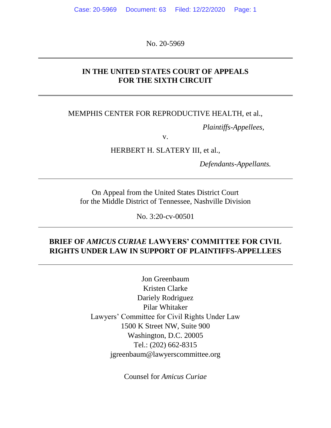No. 20-5969

### **IN THE UNITED STATES COURT OF APPEALS FOR THE SIXTH CIRCUIT**

### MEMPHIS CENTER FOR REPRODUCTIVE HEALTH, et al.,

*Plaintiffs-Appellees,*

v.

HERBERT H. SLATERY III, et al.,

*Defendants-Appellants.*

On Appeal from the United States District Court for the Middle District of Tennessee, Nashville Division

No. 3:20-cv-00501

## **BRIEF OF** *AMICUS CURIAE* **LAWYERS' COMMITTEE FOR CIVIL RIGHTS UNDER LAW IN SUPPORT OF PLAINTIFFS-APPELLEES**

Jon Greenbaum Kristen Clarke Dariely Rodriguez Pilar Whitaker Lawyers' Committee for Civil Rights Under Law 1500 K Street NW, Suite 900 Washington, D.C. 20005 Tel.: (202) 662-8315 jgreenbaum@lawyerscommittee.org

Counsel for *Amicus Curiae*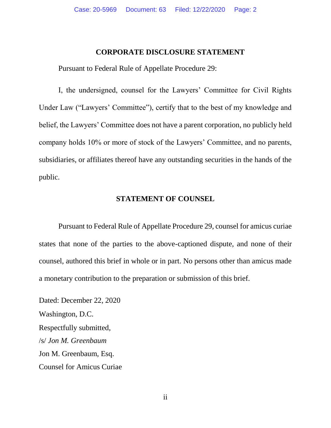#### **CORPORATE DISCLOSURE STATEMENT**

<span id="page-1-0"></span>Pursuant to Federal Rule of Appellate Procedure 29:

I, the undersigned, counsel for the Lawyers' Committee for Civil Rights Under Law ("Lawyers' Committee"), certify that to the best of my knowledge and belief, the Lawyers' Committee does not have a parent corporation, no publicly held company holds 10% or more of stock of the Lawyers' Committee, and no parents, subsidiaries, or affiliates thereof have any outstanding securities in the hands of the public.

#### **STATEMENT OF COUNSEL**

Pursuant to Federal Rule of Appellate Procedure 29, counsel for amicus curiae states that none of the parties to the above-captioned dispute, and none of their counsel, authored this brief in whole or in part. No persons other than amicus made a monetary contribution to the preparation or submission of this brief.

Dated: December 22, 2020 Washington, D.C. Respectfully submitted, /s/ *Jon M. Greenbaum* Jon M. Greenbaum, Esq. Counsel for Amicus Curiae

ii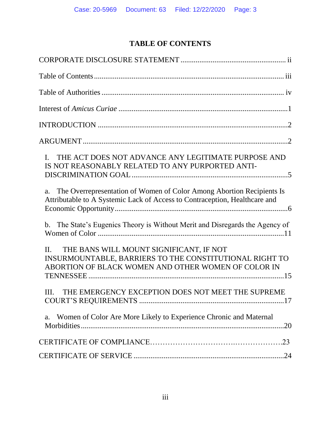# **TABLE OF CONTENTS**

<span id="page-2-0"></span>

| THE ACT DOES NOT ADVANCE ANY LEGITIMATE PURPOSE AND<br>$\mathbf{I}$ .<br>IS NOT REASONABLY RELATED TO ANY PURPORTED ANTI-                                            |
|----------------------------------------------------------------------------------------------------------------------------------------------------------------------|
| The Overrepresentation of Women of Color Among Abortion Recipients Is<br>a.<br>Attributable to A Systemic Lack of Access to Contraception, Healthcare and            |
| The State's Eugenics Theory is Without Merit and Disregards the Agency of<br>b.                                                                                      |
| THE BANS WILL MOUNT SIGNIFICANT, IF NOT<br>$\Pi$ .<br>INSURMOUNTABLE, BARRIERS TO THE CONSTITUTIONAL RIGHT TO<br>ABORTION OF BLACK WOMEN AND OTHER WOMEN OF COLOR IN |
| THE EMERGENCY EXCEPTION DOES NOT MEET THE SUPREME<br>Ш.                                                                                                              |
| Women of Color Are More Likely to Experience Chronic and Maternal<br>a.                                                                                              |
|                                                                                                                                                                      |
|                                                                                                                                                                      |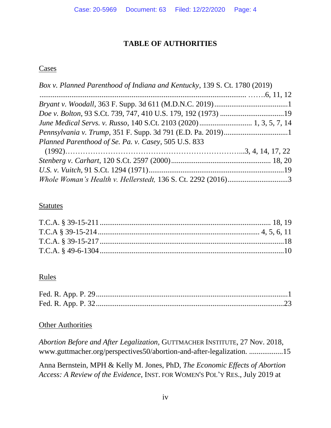## **TABLE OF AUTHORITIES**

### <span id="page-3-0"></span>**Cases**

| Box v. Planned Parenthood of Indiana and Kentucky, 139 S. Ct. 1780 (2019) |  |
|---------------------------------------------------------------------------|--|
|                                                                           |  |
|                                                                           |  |
|                                                                           |  |
|                                                                           |  |
|                                                                           |  |
| Planned Parenthood of Se. Pa. v. Casey, 505 U.S. 833                      |  |
|                                                                           |  |
|                                                                           |  |
|                                                                           |  |
| Whole Woman's Health v. Hellerstedt, 136 S. Ct. 2292 (2016)3              |  |

## **Statutes**

## Rules

## **Other Authorities**

| Abortion Before and After Legalization, GUTTMACHER INSTITUTE, 27 Nov. 2018, |  |
|-----------------------------------------------------------------------------|--|
| www.guttmacher.org/perspectives50/abortion-and-after-legalization15         |  |

Anna Bernstein, MPH & Kelly M. Jones, PhD, *The Economic Effects of Abortion Access: A Review of the Evidence*, INST. FOR WOMEN'S POL'Y RES., July 2019 at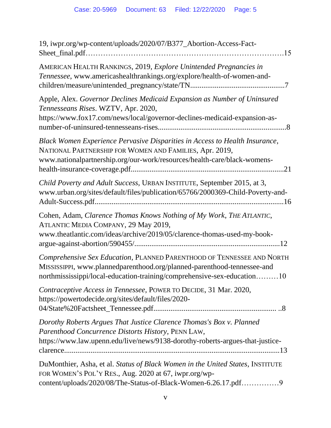| 19, iwpr.org/wp-content/uploads/2020/07/B377_Abortion-Access-Fact-                                                                                                                                                           |
|------------------------------------------------------------------------------------------------------------------------------------------------------------------------------------------------------------------------------|
| AMERICAN HEALTH RANKINGS, 2019, Explore Unintended Pregnancies in<br>Tennessee, www.americashealthrankings.org/explore/health-of-women-and-                                                                                  |
| Apple, Alex. Governor Declines Medicaid Expansion as Number of Uninsured<br>Tennesseans Rises. WZTV, Apr. 2020,<br>https://www.fox17.com/news/local/governor-declines-medicaid-expansion-as-                                 |
| Black Women Experience Pervasive Disparities in Access to Health Insurance,<br>NATIONAL PARTNERSHIP FOR WOMEN AND FAMILIES, Apr. 2019,<br>www.nationalpartnership.org/our-work/resources/health-care/black-womens-           |
| Child Poverty and Adult Success, URBAN INSTITUTE, September 2015, at 3,<br>www.urban.org/sites/default/files/publication/65766/2000369-Child-Poverty-and-                                                                    |
| Cohen, Adam, Clarence Thomas Knows Nothing of My Work, THE ATLANTIC,<br>ATLANTIC MEDIA COMPANY, 29 May 2019,<br>www.theatlantic.com/ideas/archive/2019/05/clarence-thomas-used-my-book-                                      |
| Comprehensive Sex Education, PLANNED PARENTHOOD OF TENNESSEE AND NORTH<br>MISSISSIPPI, www.plannedparenthood.org/planned-parenthood-tennessee-and<br>northmississippi/local-education-training/comprehensive-sex-education10 |
| Contraceptive Access in Tennessee, POWER TO DECIDE, 31 Mar. 2020,<br>https://powertodecide.org/sites/default/files/2020-                                                                                                     |
| Dorothy Roberts Argues That Justice Clarence Thomas's Box v. Planned<br>Parenthood Concurrence Distorts History, PENN LAW,<br>https://www.law.upenn.edu/live/news/9138-dorothy-roberts-argues-that-justice-                  |
| DuMonthier, Asha, et al. Status of Black Women in the United States, INSTITUTE<br>FOR WOMEN'S POL'Y RES., Aug. 2020 at 67, iwpr.org/wp-<br>content/uploads/2020/08/The-Status-of-Black-Women-6.26.17.pdf                     |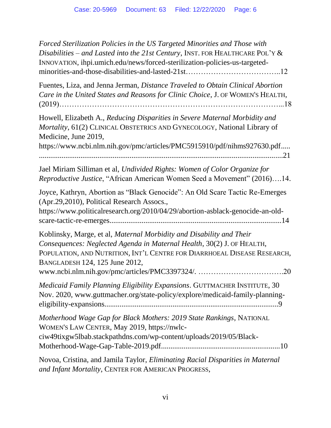| Forced Sterilization Policies in the US Targeted Minorities and Those with<br>Disabilities – and Lasted into the 21st Century, INST. FOR HEALTHCARE POL'Y &<br>INNOVATION, ihpi.umich.edu/news/forced-sterilization-policies-us-targeted-                                                                             |
|-----------------------------------------------------------------------------------------------------------------------------------------------------------------------------------------------------------------------------------------------------------------------------------------------------------------------|
| Fuentes, Liza, and Jenna Jerman, Distance Traveled to Obtain Clinical Abortion<br>Care in the United States and Reasons for Clinic Choice, J. OF WOMEN'S HEALTH,                                                                                                                                                      |
| Howell, Elizabeth A., Reducing Disparities in Severe Maternal Morbidity and<br>Mortality, 61(2) CLINICAL OBSTETRICS AND GYNECOLOGY, National Library of<br>Medicine, June 2019,                                                                                                                                       |
| https://www.ncbi.nlm.nih.gov/pmc/articles/PMC5915910/pdf/nihms927630.pdf                                                                                                                                                                                                                                              |
| Jael Miriam Silliman et al, Undivided Rights: Women of Color Organize for<br>Reproductive Justice, "African American Women Seed a Movement" (2016)14.                                                                                                                                                                 |
| Joyce, Kathryn, Abortion as "Black Genocide": An Old Scare Tactic Re-Emerges<br>(Apr.29,2010), Political Research Assocs.,<br>https://www.politicalresearch.org/2010/04/29/abortion-asblack-genocide-an-old-                                                                                                          |
| Koblinsky, Marge, et al, Maternal Morbidity and Disability and Their<br>Consequences: Neglected Agenda in Maternal Health, 30(2) J. OF HEALTH,<br>POPULATION, AND NUTRITION, INT'L CENTRE FOR DIARRHOEAL DISEASE RESEARCH,<br>BANGLADESH 124, 125 June 2012,<br>www.ncbi.nlm.nih.gov/pmc/articles/PMC3397324/.<br>.20 |
| Medicaid Family Planning Eligibility Expansions. GUTTMACHER INSTITUTE, 30<br>Nov. 2020, www.guttmacher.org/state-policy/explore/medicaid-family-planning-                                                                                                                                                             |
| Motherhood Wage Gap for Black Mothers: 2019 State Rankings, NATIONAL<br>WOMEN'S LAW CENTER, May 2019, https://nwlc-<br>ciw49tixgw5lbab.stackpathdns.com/wp-content/uploads/2019/05/Black-                                                                                                                             |
| Novoa, Cristina, and Jamila Taylor, Eliminating Racial Disparities in Maternal                                                                                                                                                                                                                                        |

*and Infant Mortality*, CENTER FOR AMERICAN PROGRESS,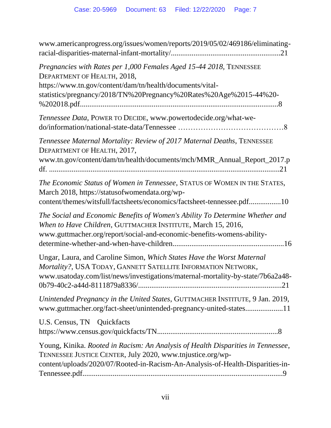| www.americanprogress.org/issues/women/reports/2019/05/02/469186/eliminating-                                                                                                                                                          |
|---------------------------------------------------------------------------------------------------------------------------------------------------------------------------------------------------------------------------------------|
| Pregnancies with Rates per 1,000 Females Aged 15-44 2018, TENNESSEE<br>DEPARTMENT OF HEALTH, 2018,<br>https://www.tn.gov/content/dam/tn/health/documents/vital-<br>statistics/pregnancy/2018/TN%20Pregnancy%20Rates%20Age%2015-44%20- |
| Tennessee Data, POWER TO DECIDE, www.powertodecide.org/what-we-                                                                                                                                                                       |
| Tennessee Maternal Mortality: Review of 2017 Maternal Deaths, TENNESSEE<br>DEPARTMENT OF HEALTH, 2017,<br>www.tn.gov/content/dam/tn/health/documents/mch/MMR_Annual_Report_2017.p                                                     |
| The Economic Status of Women in Tennessee, STATUS OF WOMEN IN THE STATES,<br>March 2018, https://statusofwomendata.org/wp-<br>content/themes/witsfull/factsheets/economics/factsheet-tennessee.pdf10                                  |
| The Social and Economic Benefits of Women's Ability To Determine Whether and<br>When to Have Children, GUTTMACHER INSTITUTE, March 15, 2016,<br>www.guttmacher.org/report/social-and-economic-benefits-womens-ability-                |
| Ungar, Laura, and Caroline Simon, Which States Have the Worst Maternal<br>Mortality?, USA TODAY, GANNETT SATELLITE INFORMATION NETWORK,<br>www.usatoday.com/list/news/investigations/maternal-mortality-by-state/7b6a2a48-            |
| Unintended Pregnancy in the United States, GUTTMACHER INSTITUTE, 9 Jan. 2019,<br>www.guttmacher.org/fact-sheet/unintended-pregnancy-united-states11                                                                                   |
| U.S. Census, TN Quickfacts                                                                                                                                                                                                            |
| Young, Kinika. Rooted in Racism: An Analysis of Health Disparities in Tennessee,<br>TENNESSEE JUSTICE CENTER, July 2020, www.tnjustice.org/wp-<br>content/uploads/2020/07/Rooted-in-Racism-An-Analysis-of-Health-Disparities-in-      |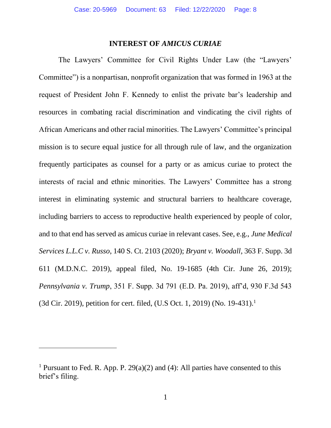#### **INTEREST OF** *AMICUS CURIAE*

<span id="page-7-0"></span>The Lawyers' Committee for Civil Rights Under Law (the "Lawyers' Committee") is a nonpartisan, nonprofit organization that was formed in 1963 at the request of President John F. Kennedy to enlist the private bar's leadership and resources in combating racial discrimination and vindicating the civil rights of African Americans and other racial minorities. The Lawyers' Committee's principal mission is to secure equal justice for all through rule of law, and the organization frequently participates as counsel for a party or as amicus curiae to protect the interests of racial and ethnic minorities. The Lawyers' Committee has a strong interest in eliminating systemic and structural barriers to healthcare coverage, including barriers to access to reproductive health experienced by people of color, and to that end has served as amicus curiae in relevant cases. See, e.g., *June Medical Services L.L.C v. Russo*, 140 S. Ct. 2103 (2020); *Bryant v. Woodall*, 363 F. Supp. 3d 611 (M.D.N.C. 2019), appeal filed, No. 19-1685 (4th Cir. June 26, 2019); *Pennsylvania v. Trump*, 351 F. Supp. 3d 791 (E.D. Pa. 2019), aff'd, 930 F.3d 543 (3d Cir. 2019), petition for cert. filed, (U.S Oct. 1, 2019) (No. 19-431).<sup>1</sup>

 $\overline{\phantom{a}}$ 

<sup>&</sup>lt;sup>1</sup> Pursuant to Fed. R. App. P. 29(a)(2) and (4): All parties have consented to this brief's filing.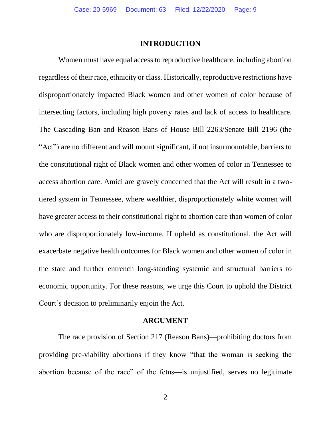#### **INTRODUCTION**

<span id="page-8-0"></span>Women must have equal access to reproductive healthcare, including abortion regardless of their race, ethnicity or class. Historically, reproductive restrictions have disproportionately impacted Black women and other women of color because of intersecting factors, including high poverty rates and lack of access to healthcare. The Cascading Ban and Reason Bans of House Bill 2263/Senate Bill 2196 (the "Act") are no different and will mount significant, if not insurmountable, barriers to the constitutional right of Black women and other women of color in Tennessee to access abortion care. Amici are gravely concerned that the Act will result in a twotiered system in Tennessee, where wealthier, disproportionately white women will have greater access to their constitutional right to abortion care than women of color who are disproportionately low-income. If upheld as constitutional, the Act will exacerbate negative health outcomes for Black women and other women of color in the state and further entrench long-standing systemic and structural barriers to economic opportunity. For these reasons, we urge this Court to uphold the District Court's decision to preliminarily enjoin the Act.

#### **ARGUMENT**

<span id="page-8-1"></span>The race provision of Section 217 (Reason Bans)—prohibiting doctors from providing pre-viability abortions if they know "that the woman is seeking the abortion because of the race" of the fetus—is unjustified, serves no legitimate

2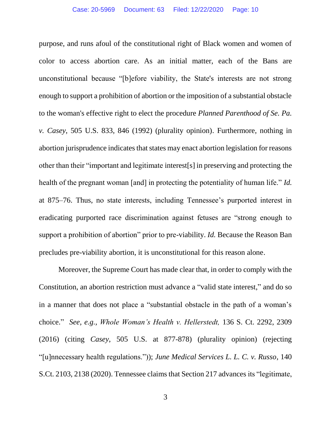purpose, and runs afoul of the constitutional right of Black women and women of color to access abortion care. As an initial matter, each of the Bans are unconstitutional because "[b]efore viability, the State's interests are not strong enough to support a prohibition of abortion or the imposition of a substantial obstacle to the woman's effective right to elect the procedure *Planned Parenthood of Se. Pa. v. Casey*, 505 U.S. 833, 846 (1992) (plurality opinion). Furthermore, nothing in abortion jurisprudence indicates that states may enact abortion legislation for reasons other than their "important and legitimate interest[s] in preserving and protecting the health of the pregnant woman [and] in protecting the potentiality of human life." *Id.* at 875–76. Thus, no state interests, including Tennessee's purported interest in eradicating purported race discrimination against fetuses are "strong enough to support a prohibition of abortion" prior to pre-viability. *Id.* Because the Reason Ban precludes pre-viability abortion, it is unconstitutional for this reason alone.

Moreover, the Supreme Court has made clear that, in order to comply with the Constitution, an abortion restriction must advance a "valid state interest," and do so in a manner that does not place a "substantial obstacle in the path of a woman's choice." *See, e.g., Whole Woman's Health v. Hellerstedt,* 136 S. Ct. 2292, 2309 (2016) (citing *Casey*, 505 U.S. at 877-878) (plurality opinion) (rejecting "[u]nnecessary health regulations.")); *June Medical Services L. L. C. v. Russo*, 140 S.Ct. 2103, 2138 (2020). Tennessee claims that Section 217 advances its "legitimate,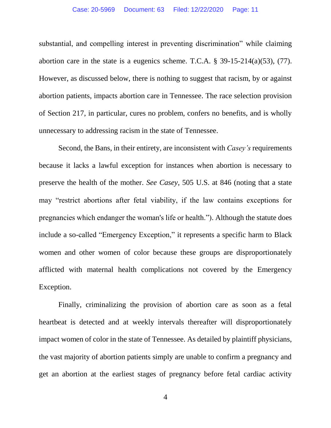substantial, and compelling interest in preventing discrimination" while claiming abortion care in the state is a eugenics scheme. T.C.A.  $\S$  39-15-214(a)(53), (77). However, as discussed below, there is nothing to suggest that racism, by or against abortion patients, impacts abortion care in Tennessee. The race selection provision of Section 217, in particular, cures no problem, confers no benefits, and is wholly unnecessary to addressing racism in the state of Tennessee.

Second, the Bans, in their entirety, are inconsistent with *Casey's* requirements because it lacks a lawful exception for instances when abortion is necessary to preserve the health of the mother. *See Casey*, 505 U.S. at 846 (noting that a state may "restrict abortions after fetal viability, if the law contains exceptions for pregnancies which endanger the woman's life or health."). Although the statute does include a so-called "Emergency Exception," it represents a specific harm to Black women and other women of color because these groups are disproportionately afflicted with maternal health complications not covered by the Emergency Exception.

Finally, criminalizing the provision of abortion care as soon as a fetal heartbeat is detected and at weekly intervals thereafter will disproportionately impact women of color in the state of Tennessee. As detailed by plaintiff physicians, the vast majority of abortion patients simply are unable to confirm a pregnancy and get an abortion at the earliest stages of pregnancy before fetal cardiac activity

4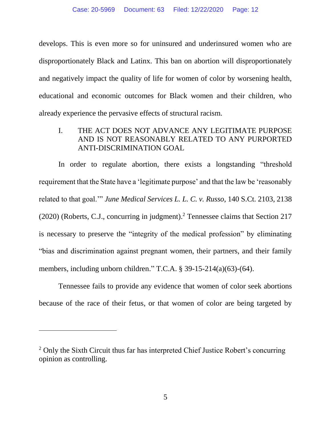develops. This is even more so for uninsured and underinsured women who are disproportionately Black and Latinx. This ban on abortion will disproportionately and negatively impact the quality of life for women of color by worsening health, educational and economic outcomes for Black women and their children, who already experience the pervasive effects of structural racism.

## <span id="page-11-0"></span>I. THE ACT DOES NOT ADVANCE ANY LEGITIMATE PURPOSE AND IS NOT REASONABLY RELATED TO ANY PURPORTED ANTI-DISCRIMINATION GOAL

In order to regulate abortion, there exists a longstanding "threshold requirement that the State have a 'legitimate purpose' and that the law be 'reasonably related to that goal.'" *June Medical Services L. L. C. v. Russo*, 140 S.Ct. 2103, 2138 (2020) (Roberts, C.J., concurring in judgment). <sup>2</sup> Tennessee claims that Section 217 is necessary to preserve the "integrity of the medical profession" by eliminating "bias and discrimination against pregnant women, their partners, and their family members, including unborn children." T.C.A. § 39-15-214(a)(63)-(64).

Tennessee fails to provide any evidence that women of color seek abortions because of the race of their fetus, or that women of color are being targeted by

 $\overline{a}$ 

<sup>&</sup>lt;sup>2</sup> Only the Sixth Circuit thus far has interpreted Chief Justice Robert's concurring opinion as controlling.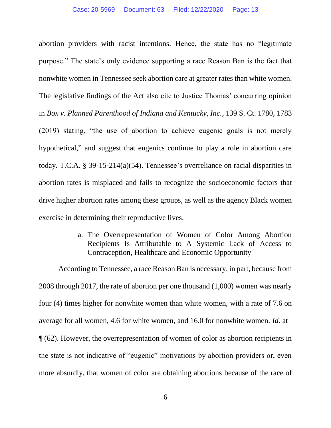abortion providers with racist intentions. Hence, the state has no "legitimate purpose." The state's only evidence supporting a race Reason Ban is the fact that nonwhite women in Tennessee seek abortion care at greater rates than white women. The legislative findings of the Act also cite to Justice Thomas' concurring opinion in *Box v. Planned Parenthood of Indiana and Kentucky, Inc.*, 139 S. Ct. 1780, 1783 (2019) stating, "the use of abortion to achieve eugenic goals is not merely hypothetical," and suggest that eugenics continue to play a role in abortion care today. T.C.A. § 39-15-214(a)(54). Tennessee's overreliance on racial disparities in abortion rates is misplaced and fails to recognize the socioeconomic factors that drive higher abortion rates among these groups, as well as the agency Black women exercise in determining their reproductive lives.

> a. The Overrepresentation of Women of Color Among Abortion Recipients Is Attributable to A Systemic Lack of Access to Contraception, Healthcare and Economic Opportunity

<span id="page-12-0"></span>According to Tennessee, a race Reason Ban is necessary, in part, because from 2008 through 2017, the rate of abortion per one thousand (1,000) women was nearly four (4) times higher for nonwhite women than white women, with a rate of 7.6 on average for all women, 4.6 for white women, and 16.0 for nonwhite women. *Id*. at ¶ (62). However, the overrepresentation of women of color as abortion recipients in the state is not indicative of "eugenic" motivations by abortion providers or, even more absurdly, that women of color are obtaining abortions because of the race of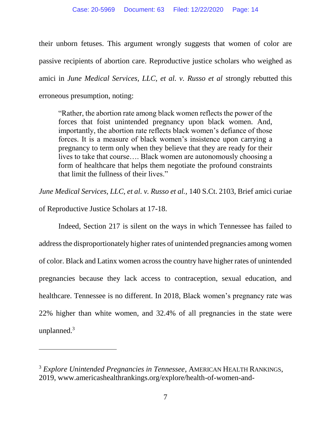their unborn fetuses. This argument wrongly suggests that women of color are passive recipients of abortion care. Reproductive justice scholars who weighed as amici in *June Medical Services, LLC, et al. v. Russo et al* strongly rebutted this erroneous presumption, noting:

"Rather, the abortion rate among black women reflects the power of the forces that foist unintended pregnancy upon black women. And, importantly, the abortion rate reflects black women's defiance of those forces. It is a measure of black women's insistence upon carrying a pregnancy to term only when they believe that they are ready for their lives to take that course…. Black women are autonomously choosing a form of healthcare that helps them negotiate the profound constraints that limit the fullness of their lives."

*June Medical Services, LLC, et al. v. Russo et al.,* 140 S.Ct. 2103, Brief amici curiae

of Reproductive Justice Scholars at 17-18.

 $\overline{\phantom{a}}$ 

Indeed, Section 217 is silent on the ways in which Tennessee has failed to address the disproportionately higher rates of unintended pregnancies among women of color. Black and Latinx women across the country have higher rates of unintended pregnancies because they lack access to contraception, sexual education, and healthcare. Tennessee is no different. In 2018, Black women's pregnancy rate was 22% higher than white women, and 32.4% of all pregnancies in the state were unplanned.<sup>3</sup>

<sup>3</sup> *Explore Unintended Pregnancies in Tennessee*, AMERICAN HEALTH RANKINGS, 2019, www.americashealthrankings.org/explore/health-of-women-and-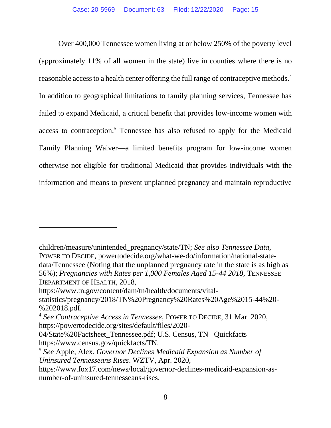Over 400,000 Tennessee women living at or below 250% of the poverty level (approximately 11% of all women in the state) live in counties where there is no reasonable access to a health center offering the full range of contraceptive methods.<sup>4</sup> In addition to geographical limitations to family planning services, Tennessee has failed to expand Medicaid, a critical benefit that provides low-income women with access to contraception.<sup>5</sup> Tennessee has also refused to apply for the Medicaid Family Planning Waiver—a limited benefits program for low-income women otherwise not eligible for traditional Medicaid that provides individuals with the information and means to prevent unplanned pregnancy and maintain reproductive

 $\overline{\phantom{a}}$ 

children/measure/unintended\_pregnancy/state/TN; *See also Tennessee Data,*  POWER TO DECIDE, powertodecide.org/what-we-do/information/national-statedata/Tennessee (Noting that the unplanned pregnancy rate in the state is as high as 56%); *Pregnancies with Rates per 1,000 Females Aged 15-44 2018,* TENNESSEE DEPARTMENT OF HEALTH, 2018,

https://www.tn.gov/content/dam/tn/health/documents/vital-

statistics/pregnancy/2018/TN%20Pregnancy%20Rates%20Age%2015-44%20- %202018.pdf.

<sup>4</sup> *See Contraceptive Access in Tennessee*, POWER TO DECIDE, 31 Mar. 2020, https://powertodecide.org/sites/default/files/2020-

<sup>04/</sup>State%20Factsheet\_Tennessee.pdf; U.S. Census, TN Quickfacts https://www.census.gov/quickfacts/TN.

<sup>5</sup> *See* Apple, Alex. *Governor Declines Medicaid Expansion as Number of Uninsured Tennesseans Rises*. WZTV, Apr. 2020,

https://www.fox17.com/news/local/governor-declines-medicaid-expansion-asnumber-of-uninsured-tennesseans-rises.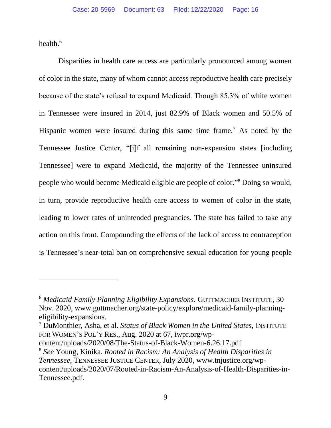health. 6

l

Disparities in health care access are particularly pronounced among women of color in the state, many of whom cannot access reproductive health care precisely because of the state's refusal to expand Medicaid. Though 85.3% of white women in Tennessee were insured in 2014, just 82.9% of Black women and 50.5% of Hispanic women were insured during this same time frame.<sup>7</sup> As noted by the Tennessee Justice Center, "[i]f all remaining non-expansion states [including Tennessee] were to expand Medicaid, the majority of the Tennessee uninsured people who would become Medicaid eligible are people of color." <sup>8</sup> Doing so would, in turn, provide reproductive health care access to women of color in the state, leading to lower rates of unintended pregnancies. The state has failed to take any action on this front. Compounding the effects of the lack of access to contraception is Tennessee's near-total ban on comprehensive sexual education for young people

<sup>7</sup> DuMonthier, Asha, et al. *Status of Black Women in the United States*, INSTITUTE FOR WOMEN'S POL'Y RES., Aug. 2020 at 67, iwpr.org/wp-

content/uploads/2020/08/The-Status-of-Black-Women-6.26.17.pdf

<sup>6</sup> *Medicaid Family Planning Eligibility Expansions*. GUTTMACHER INSTITUTE, 30 Nov. 2020, www.guttmacher.org/state-policy/explore/medicaid-family-planningeligibility-expansions.

<sup>8</sup> *See* Young, Kinika. *Rooted in Racism: An Analysis of Health Disparities in Tennessee*, TENNESSEE JUSTICE CENTER, July 2020, www.tnjustice.org/wpcontent/uploads/2020/07/Rooted-in-Racism-An-Analysis-of-Health-Disparities-in-Tennessee.pdf.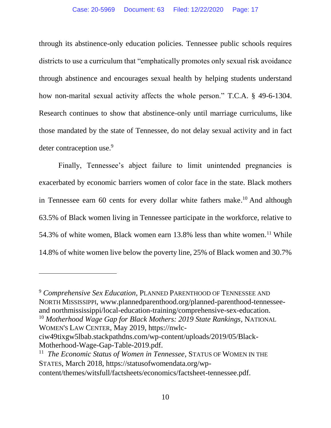through its abstinence-only education policies. Tennessee public schools requires districts to use a curriculum that "emphatically promotes only sexual risk avoidance through abstinence and encourages sexual health by helping students understand how non-marital sexual activity affects the whole person." T.C.A. § 49-6-1304. Research continues to show that abstinence-only until marriage curriculums, like those mandated by the state of Tennessee, do not delay sexual activity and in fact deter contraception use.<sup>9</sup>

Finally, Tennessee's abject failure to limit unintended pregnancies is exacerbated by economic barriers women of color face in the state. Black mothers in Tennessee earn 60 cents for every dollar white fathers make.<sup>10</sup> And although 63.5% of Black women living in Tennessee participate in the workforce, relative to 54.3% of white women, Black women earn 13.8% less than white women.<sup>11</sup> While 14.8% of white women live below the poverty line, 25% of Black women and 30.7%

<sup>9</sup> *Comprehensive Sex Education*, PLANNED PARENTHOOD OF TENNESSEE AND NORTH MISSISSIPPI, www.plannedparenthood.org/planned-parenthood-tennesseeand northmississippi/local-education-training/comprehensive-sex-education. <sup>10</sup> *Motherhood Wage Gap for Black Mothers: 2019 State Rankings*, NATIONAL

WOMEN'S LAW CENTER, May 2019, https://nwlc-

 $\overline{a}$ 

<sup>11</sup> The Economic Status of Women in Tennessee, STATUS OF WOMEN IN THE STATES, March 2018, https://statusofwomendata.org/wpcontent/themes/witsfull/factsheets/economics/factsheet-tennessee.pdf.

ciw49tixgw5lbab.stackpathdns.com/wp-content/uploads/2019/05/Black-Motherhood-Wage-Gap-Table-2019.pdf.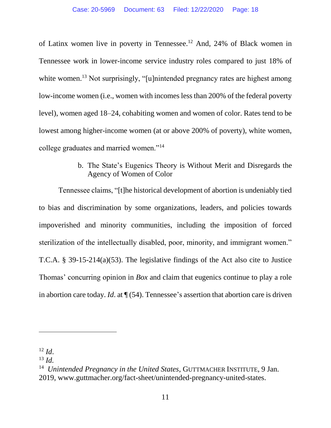of Latinx women live in poverty in Tennessee.<sup>12</sup> And, 24% of Black women in Tennessee work in lower-income service industry roles compared to just 18% of white women.<sup>13</sup> Not surprisingly, "[u]nintended pregnancy rates are highest among low-income women (i.e., women with incomes less than 200% of the federal poverty level), women aged 18–24, cohabiting women and women of color. Rates tend to be lowest among higher-income women (at or above 200% of poverty), white women, college graduates and married women."<sup>14</sup>

## b. The State's Eugenics Theory is Without Merit and Disregards the Agency of Women of Color

<span id="page-17-0"></span>Tennessee claims, "[t]he historical development of abortion is undeniably tied to bias and discrimination by some organizations, leaders, and policies towards impoverished and minority communities, including the imposition of forced sterilization of the intellectually disabled, poor, minority, and immigrant women." T.C.A. § 39-15-214(a)(53). The legislative findings of the Act also cite to Justice Thomas' concurring opinion in *Box* and claim that eugenics continue to play a role in abortion care today. *Id*. at ¶ (54). Tennessee's assertion that abortion care is driven

 $\overline{a}$ 

 $12$  *Id.* 

<sup>13</sup> *Id.*

<sup>&</sup>lt;sup>14</sup> Unintended Pregnancy in the United States, GUTTMACHER INSTITUTE, 9 Jan. 2019, www.guttmacher.org/fact-sheet/unintended-pregnancy-united-states.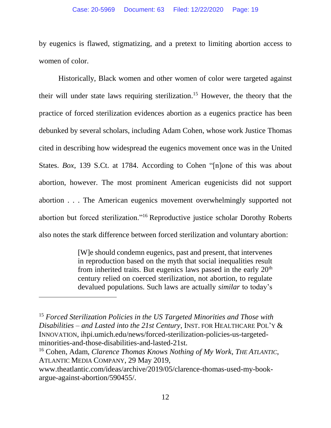by eugenics is flawed, stigmatizing, and a pretext to limiting abortion access to women of color.

Historically, Black women and other women of color were targeted against their will under state laws requiring sterilization. <sup>15</sup> However, the theory that the practice of forced sterilization evidences abortion as a eugenics practice has been debunked by several scholars, including Adam Cohen, whose work Justice Thomas cited in describing how widespread the eugenics movement once was in the United States. *Box*, 139 S.Ct. at 1784. According to Cohen "[n]one of this was about abortion, however. The most prominent American eugenicists did not support abortion . . . The American eugenics movement overwhelmingly supported not abortion but forced sterilization."<sup>16</sup> Reproductive justice scholar Dorothy Roberts also notes the stark difference between forced sterilization and voluntary abortion:

> [W]e should condemn eugenics, past and present, that intervenes in reproduction based on the myth that social inequalities result from inherited traits. But eugenics laws passed in the early  $20<sup>th</sup>$ century relied on coerced sterilization, not abortion, to regulate devalued populations. Such laws are actually *similar* to today's

 $\overline{a}$ 

<sup>15</sup> *Forced Sterilization Policies in the US Targeted Minorities and Those with Disabilities – and Lasted into the 21st Century*, INST. FOR HEALTHCARE POL'Y & INNOVATION, ihpi.umich.edu/news/forced-sterilization-policies-us-targetedminorities-and-those-disabilities-and-lasted-21st.

<sup>16</sup> Cohen, Adam, *Clarence Thomas Knows Nothing of My Work*, *THE ATLANTIC*, ATLANTIC MEDIA COMPANY, 29 May 2019,

www.theatlantic.com/ideas/archive/2019/05/clarence-thomas-used-my-bookargue-against-abortion/590455/.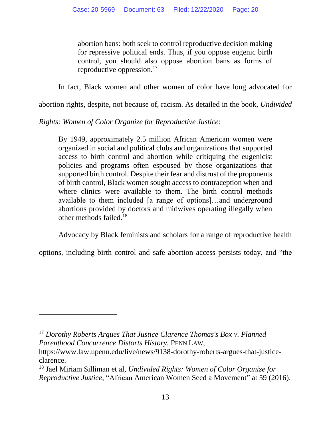abortion bans: both seek to control reproductive decision making for repressive political ends. Thus, if you oppose eugenic birth control, you should also oppose abortion bans as forms of reproductive oppression.<sup>17</sup>

In fact, Black women and other women of color have long advocated for

abortion rights, despite, not because of, racism. As detailed in the book, *Undivided* 

*Rights: Women of Color Organize for Reproductive Justice*:

By 1949, approximately 2.5 million African American women were organized in social and political clubs and organizations that supported access to birth control and abortion while critiquing the eugenicist policies and programs often espoused by those organizations that supported birth control. Despite their fear and distrust of the proponents of birth control, Black women sought access to contraception when and where clinics were available to them. The birth control methods available to them included [a range of options]…and underground abortions provided by doctors and midwives operating illegally when other methods failed.<sup>18</sup>

Advocacy by Black feminists and scholars for a range of reproductive health

options, including birth control and safe abortion access persists today, and "the

l

<sup>17</sup> *Dorothy Roberts Argues That Justice Clarence Thomas's Box v. Planned Parenthood Concurrence Distorts History*, PENN LAW,

https://www.law.upenn.edu/live/news/9138-dorothy-roberts-argues-that-justiceclarence.

<sup>18</sup> Jael Miriam Silliman et al, *Undivided Rights: Women of Color Organize for Reproductive Justice*, "African American Women Seed a Movement" at 59 (2016).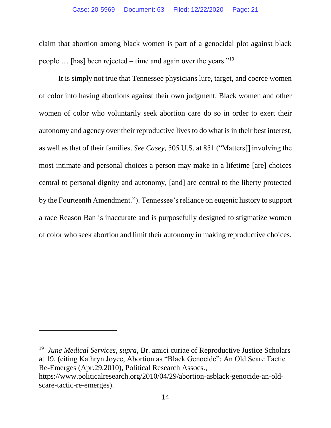claim that abortion among black women is part of a genocidal plot against black people  $\ldots$  [has] been rejected – time and again over the years."<sup>19</sup>

It is simply not true that Tennessee physicians lure, target, and coerce women of color into having abortions against their own judgment. Black women and other women of color who voluntarily seek abortion care do so in order to exert their autonomy and agency over their reproductive lives to do what is in their best interest, as well as that of their families. *See Casey,* 505 U.S. at 851 ("Matters[] involving the most intimate and personal choices a person may make in a lifetime [are] choices central to personal dignity and autonomy, [and] are central to the liberty protected by the Fourteenth Amendment."). Tennessee's reliance on eugenic history to support a race Reason Ban is inaccurate and is purposefully designed to stigmatize women of color who seek abortion and limit their autonomy in making reproductive choices.

 $\overline{a}$ 

<sup>&</sup>lt;sup>19</sup> June Medical Services, supra, Br. amici curiae of Reproductive Justice Scholars at 19, (citing Kathryn Joyce, Abortion as "Black Genocide": An Old Scare Tactic Re-Emerges (Apr.29,2010), Political Research Assocs.,

[https://www.politicalresearch.org/2010/04/29/abortion-asblack-genocide-an-old](https://www.politicalresearch.org/2010/04/29/abortion-asblack-genocide-an-old-scare-tactic-re-emerges)[scare-tactic-re-emerges\)](https://www.politicalresearch.org/2010/04/29/abortion-asblack-genocide-an-old-scare-tactic-re-emerges).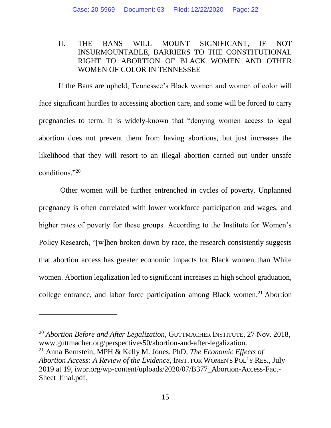## <span id="page-21-0"></span>II. THE BANS WILL MOUNT SIGNIFICANT, IF NOT INSURMOUNTABLE, BARRIERS TO THE CONSTITUTIONAL RIGHT TO ABORTION OF BLACK WOMEN AND OTHER WOMEN OF COLOR IN TENNESSEE

If the Bans are upheld, Tennessee's Black women and women of color will face significant hurdles to accessing abortion care, and some will be forced to carry pregnancies to term. It is widely-known that "denying women access to legal abortion does not prevent them from having abortions, but just increases the likelihood that they will resort to an illegal abortion carried out under unsafe conditions."<sup>20</sup>

Other women will be further entrenched in cycles of poverty. Unplanned pregnancy is often correlated with lower workforce participation and wages, and higher rates of poverty for these groups. According to the Institute for Women's Policy Research, "[w]hen broken down by race, the research consistently suggests that abortion access has greater economic impacts for Black women than White women. Abortion legalization led to significant increases in high school graduation, college entrance, and labor force participation among Black women.<sup>21</sup> Abortion

l

<sup>20</sup> *Abortion Before and After Legalization,* GUTTMACHER INSTITUTE, 27 Nov. 2018, www.guttmacher.org/perspectives50/abortion-and-after-legalization.

<sup>21</sup> Anna Bernstein, MPH & Kelly M. Jones, PhD, *The Economic Effects of Abortion Access: A Review of the Evidence*, INST. FOR WOMEN'S POL'Y RES., July 2019 at 19, iwpr.org/wp-content/uploads/2020/07/B377\_Abortion-Access-Fact-Sheet final.pdf.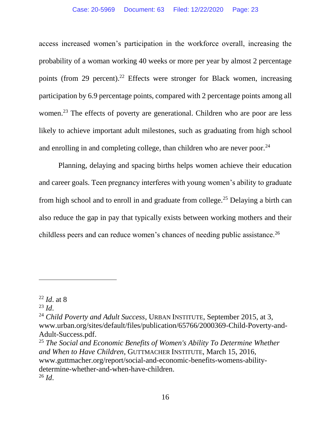access increased women's participation in the workforce overall, increasing the probability of a woman working 40 weeks or more per year by almost 2 percentage points (from 29 percent).<sup>22</sup> Effects were stronger for Black women, increasing participation by 6.9 percentage points, compared with 2 percentage points among all women.<sup>23</sup> The effects of poverty are generational. Children who are poor are less likely to achieve important adult milestones, such as graduating from high school and enrolling in and completing college, than children who are never poor.<sup>24</sup>

Planning, delaying and spacing births helps women achieve their education and career goals. Teen pregnancy interferes with young women's ability to graduate from high school and to enroll in and graduate from college.<sup>25</sup> Delaying a birth can also reduce the gap in pay that typically exists between working mothers and their childless peers and can reduce women's chances of needing public assistance.<sup>26</sup>

l

<sup>22</sup> *Id*. at 8

<sup>23</sup> *Id*.

<sup>24</sup> *Child Poverty and Adult Success*, URBAN INSTITUTE, September 2015, at 3, www.urban.org/sites/default/files/publication/65766/2000369-Child-Poverty-and-Adult-Success.pdf.

<sup>25</sup> *The Social and Economic Benefits of Women's Ability To Determine Whether and When to Have Children*, GUTTMACHER INSTITUTE, March 15, 2016, www.guttmacher.org/report/social-and-economic-benefits-womens-abilitydetermine-whether-and-when-have-children. <sup>26</sup> *Id*.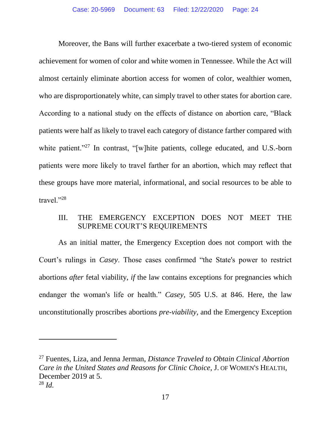Moreover, the Bans will further exacerbate a two-tiered system of economic achievement for women of color and white women in Tennessee. While the Act will almost certainly eliminate abortion access for women of color, wealthier women, who are disproportionately white, can simply travel to other states for abortion care. According to a national study on the effects of distance on abortion care, "Black patients were half as likely to travel each category of distance farther compared with white patient."<sup>27</sup> In contrast, "[w]hite patients, college educated, and U.S.-born patients were more likely to travel farther for an abortion, which may reflect that these groups have more material, informational, and social resources to be able to travel."<sup>28</sup>

### <span id="page-23-0"></span>III. THE EMERGENCY EXCEPTION DOES NOT MEET THE SUPREME COURT'S REQUIREMENTS

As an initial matter, the Emergency Exception does not comport with the Court's rulings in *Casey*. Those cases confirmed "the State's power to restrict abortions *after* fetal viability, *if* the law contains exceptions for pregnancies which endanger the woman's life or health." *Casey*, 505 U.S. at 846. Here, the law unconstitutionally proscribes abortions *pre-viability*, and the Emergency Exception

 $\overline{\phantom{a}}$ 

<sup>27</sup> Fuentes, Liza, and Jenna Jerman, *Distance Traveled to Obtain Clinical Abortion Care in the United States and Reasons for Clinic Choice*, J. OF WOMEN'S HEALTH, December 2019 at 5. <sup>28</sup> *Id.*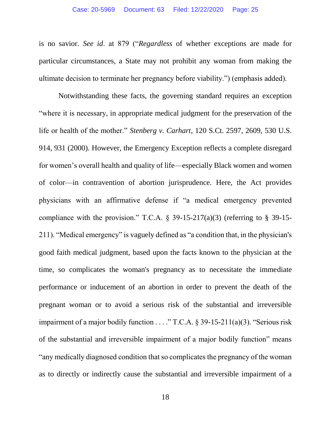is no savior. *See id*. at 879 ("*Regardless* of whether exceptions are made for particular circumstances, a State may not prohibit any woman from making the ultimate decision to terminate her pregnancy before viability.") (emphasis added).

Notwithstanding these facts, the governing standard requires an exception "where it is necessary, in appropriate medical judgment for the preservation of the life or health of the mother." *Stenberg v. Carhart*, 120 S.Ct. 2597, 2609, 530 U.S. 914, 931 (2000). However, the Emergency Exception reflects a complete disregard for women's overall health and quality of life—especially Black women and women of color—in contravention of abortion jurisprudence. Here, the Act provides physicians with an affirmative defense if "a medical emergency prevented compliance with the provision." T.C.A.  $\S$  39-15-217(a)(3) (referring to  $\S$  39-15-211). "Medical emergency" is vaguely defined as "a condition that, in the physician's good faith medical judgment, based upon the facts known to the physician at the time, so complicates the woman's pregnancy as to necessitate the immediate performance or inducement of an abortion in order to prevent the death of the pregnant woman or to avoid a serious risk of the substantial and irreversible impairment of a major bodily function . . . ." T.C.A. § 39-15-211(a)(3). "Serious risk of the substantial and irreversible impairment of a major bodily function" means "any medically diagnosed condition that so complicates the pregnancy of the woman as to directly or indirectly cause the substantial and irreversible impairment of a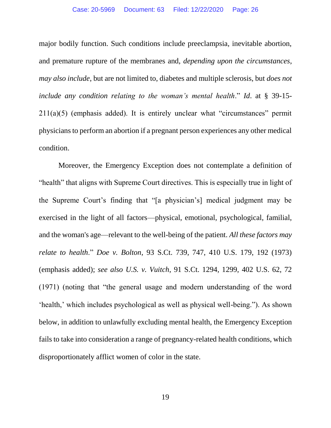#### Case: 20-5969 Document: 63 Filed: 12/22/2020 Page: 26

major bodily function. Such conditions include preeclampsia, inevitable abortion, and premature rupture of the membranes and, *depending upon the circumstances*, *may also include*, but are not limited to, diabetes and multiple sclerosis, but *does not include any condition relating to the woman's mental health*." *Id*. at § 39-15-  $211(a)(5)$  (emphasis added). It is entirely unclear what "circumstances" permit physicians to perform an abortion if a pregnant person experiences any other medical condition.

Moreover, the Emergency Exception does not contemplate a definition of "health" that aligns with Supreme Court directives. This is especially true in light of the Supreme Court's finding that "[a physician's] medical judgment may be exercised in the light of all factors—physical, emotional, psychological, familial, and the woman's age—relevant to the well-being of the patient. *All these factors may relate to health*." *Doe v. Bolton*, 93 S.Ct. 739, 747, 410 U.S. 179, 192 (1973) (emphasis added); *see also U.S. v. Vuitch*, 91 S.Ct. 1294, 1299, 402 U.S. 62, 72 (1971) (noting that "the general usage and modern understanding of the word 'health,' which includes psychological as well as physical well-being."). As shown below, in addition to unlawfully excluding mental health, the Emergency Exception fails to take into consideration a range of pregnancy-related health conditions, which disproportionately afflict women of color in the state.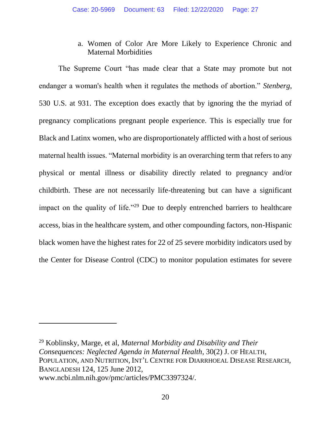a. Women of Color Are More Likely to Experience Chronic and Maternal Morbidities

<span id="page-26-0"></span>The Supreme Court "has made clear that a State may promote but not endanger a woman's health when it regulates the methods of abortion." *Stenberg*, 530 U.S. at 931. The exception does exactly that by ignoring the the myriad of pregnancy complications pregnant people experience. This is especially true for Black and Latinx women, who are disproportionately afflicted with a host of serious maternal health issues. "Maternal morbidity is an overarching term that refers to any physical or mental illness or disability directly related to pregnancy and/or childbirth. These are not necessarily life-threatening but can have a significant impact on the quality of life."<sup>29</sup> Due to deeply entrenched barriers to healthcare access, bias in the healthcare system, and other compounding factors, non-Hispanic black women have the highest rates for 22 of 25 severe morbidity indicators used by the Center for Disease Control (CDC) to monitor population estimates for severe

 $\overline{a}$ 

<sup>29</sup> Koblinsky, Marge, et al, *Maternal Morbidity and Disability and Their Consequences: Neglected Agenda in Maternal Health*, 30(2) J. OF HEALTH, POPULATION, AND NUTRITION, INT'L CENTRE FOR DIARRHOEAL DISEASE RESEARCH, BANGLADESH 124, 125 June 2012, www.ncbi.nlm.nih.gov/pmc/articles/PMC3397324/.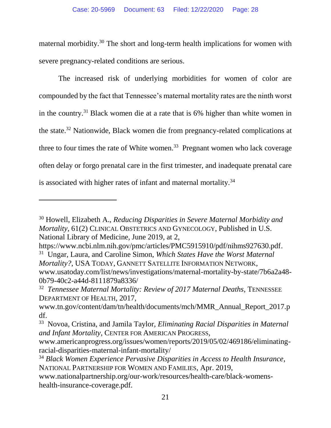maternal morbidity.<sup>30</sup> The short and long-term health implications for women with severe pregnancy-related conditions are serious.

The increased risk of underlying morbidities for women of color are compounded by the fact that Tennessee's maternal mortality rates are the ninth worst in the country.<sup>31</sup> Black women die at a rate that is 6% higher than white women in the state.<sup>32</sup> Nationwide, Black women die from pregnancy-related complications at three to four times the rate of White women.<sup>33</sup> Pregnant women who lack coverage often delay or forgo prenatal care in the first trimester, and inadequate prenatal care is associated with higher rates of infant and maternal mortality.<sup>34</sup>

 $\overline{\phantom{a}}$ 

<sup>30</sup> Howell, Elizabeth A., *Reducing Disparities in Severe Maternal Morbidity and Mortality*, 61(2) CLINICAL OBSTETRICS AND GYNECOLOGY, Published in U.S. National Library of Medicine, June 2019, at 2,

https://www.ncbi.nlm.nih.gov/pmc/articles/PMC5915910/pdf/nihms927630.pdf. 31 Ungar, Laura, and Caroline Simon, *Which States Have the Worst Maternal Mortality?*, USA TODAY, GANNETT SATELLITE INFORMATION NETWORK, www.usatoday.com/list/news/investigations/maternal-mortality-by-state/7b6a2a48-

<sup>0</sup>b79-40c2-a44d-8111879a8336/

<sup>32</sup> *Tennessee Maternal Mortality: Review of 2017 Maternal Deaths*, TENNESSEE DEPARTMENT OF HEALTH, 2017,

www.tn.gov/content/dam/tn/health/documents/mch/MMR\_Annual\_Report\_2017.p df.

<sup>33</sup> Novoa, Cristina, and Jamila Taylor, *Eliminating Racial Disparities in Maternal and Infant Mortality*, CENTER FOR AMERICAN PROGRESS,

www.americanprogress.org/issues/women/reports/2019/05/02/469186/eliminatingracial-disparities-maternal-infant-mortality/

<sup>34</sup> *Black Women Experience Pervasive Disparities in Access to Health Insurance*, NATIONAL PARTNERSHIP FOR WOMEN AND FAMILIES, Apr. 2019,

www.nationalpartnership.org/our-work/resources/health-care/black-womenshealth-insurance-coverage.pdf.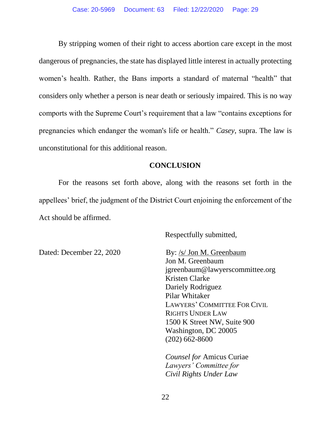By stripping women of their right to access abortion care except in the most dangerous of pregnancies, the state has displayed little interest in actually protecting women's health. Rather, the Bans imports a standard of maternal "health" that considers only whether a person is near death or seriously impaired. This is no way comports with the Supreme Court's requirement that a law "contains exceptions for pregnancies which endanger the woman's life or health." *Casey*, supra. The law is unconstitutional for this additional reason.

### **CONCLUSION**

For the reasons set forth above, along with the reasons set forth in the appellees' brief, the judgment of the District Court enjoining the enforcement of the Act should be affirmed.

Respectfully submitted,

Dated: December 22, 2020 By: /s/ Jon M. Greenbaum

Jon M. Greenbaum jgreenbaum@lawyerscommittee.org Kristen Clarke Dariely Rodriguez Pilar Whitaker LAWYERS' COMMITTEE FOR CIVIL RIGHTS UNDER LAW 1500 K Street NW, Suite 900 Washington, DC 20005 (202) 662-8600

*Counsel for* Amicus Curiae *Lawyers' Committee for Civil Rights Under Law*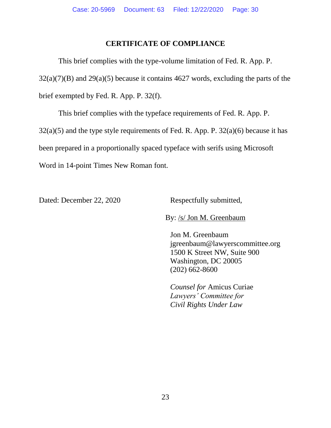### **CERTIFICATE OF COMPLIANCE**

This brief complies with the type-volume limitation of Fed. R. App. P.  $32(a)(7)(B)$  and  $29(a)(5)$  because it contains 4627 words, excluding the parts of the brief exempted by Fed. R. App. P. 32(f).

This brief complies with the typeface requirements of Fed. R. App. P.  $32(a)(5)$  and the type style requirements of Fed. R. App. P.  $32(a)(6)$  because it has been prepared in a proportionally spaced typeface with serifs using Microsoft Word in 14-point Times New Roman font.

Dated: December 22, 2020 Respectfully submitted,

By: /s/ Jon M. Greenbaum

Jon M. Greenbaum jgreenbaum@lawyerscommittee.org 1500 K Street NW, Suite 900 Washington, DC 20005 (202) 662-8600

*Counsel for* Amicus Curiae *Lawyers' Committee for Civil Rights Under Law*